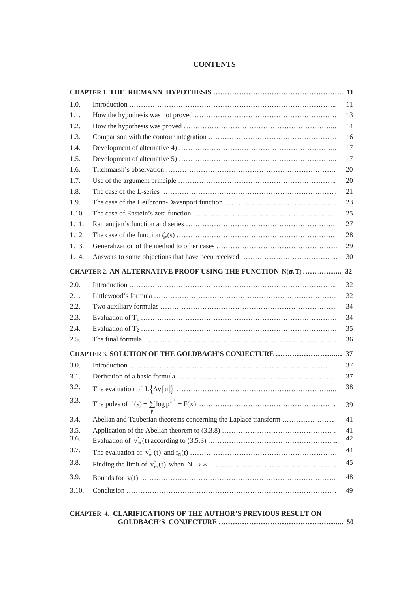## **CONTENTS**

| 1.0.  |                                                                      |
|-------|----------------------------------------------------------------------|
| 1.1.  |                                                                      |
| 1.2.  |                                                                      |
| 1.3.  |                                                                      |
| 1.4.  |                                                                      |
| 1.5.  |                                                                      |
| 1.6.  |                                                                      |
| 1.7.  |                                                                      |
| 1.8.  |                                                                      |
| 1.9.  |                                                                      |
| 1.10. |                                                                      |
| 1.11. |                                                                      |
| 1.12. |                                                                      |
| 1.13. |                                                                      |
| 1.14. |                                                                      |
|       | CHAPTER 2. AN ALTERNATIVE PROOF USING THE FUNCTION $N(\sigma, T)$ 32 |
| 2.0.  |                                                                      |
| 2.1.  |                                                                      |
| 2.2.  |                                                                      |
| 2.3.  |                                                                      |
| 2.4.  |                                                                      |
| 2.5.  |                                                                      |
|       |                                                                      |
| 3.0.  |                                                                      |
| 3.1.  |                                                                      |
| 3.2.  |                                                                      |
|       |                                                                      |
| 3.3.  |                                                                      |
| 3.4.  | Abelian and Tauberian theorems concerning the Laplace transform      |
| 3.5.  |                                                                      |
| 3.6.  |                                                                      |
| 3.7.  |                                                                      |
| 3.8.  |                                                                      |
| 3.9.  |                                                                      |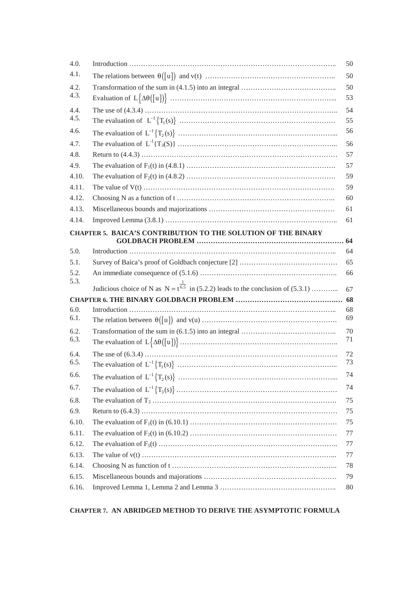| 4.0.                                                          |                                                                                                | 50 |  |  |
|---------------------------------------------------------------|------------------------------------------------------------------------------------------------|----|--|--|
| 4.1.                                                          |                                                                                                | 50 |  |  |
| 4.2.<br>4.3.                                                  |                                                                                                | 50 |  |  |
|                                                               |                                                                                                | 53 |  |  |
| 4.4.                                                          |                                                                                                | 54 |  |  |
| 4.5.                                                          |                                                                                                | 55 |  |  |
| 4.6.                                                          |                                                                                                | 56 |  |  |
| 4.7.                                                          |                                                                                                | 56 |  |  |
| 4.8.                                                          |                                                                                                | 57 |  |  |
| 4.9.                                                          |                                                                                                | 57 |  |  |
| 4.10.                                                         |                                                                                                | 59 |  |  |
| 4.11.                                                         |                                                                                                | 59 |  |  |
| 4.12.                                                         |                                                                                                | 60 |  |  |
| 4.13.                                                         |                                                                                                | 61 |  |  |
| 4.14.                                                         |                                                                                                | 61 |  |  |
| CHAPTER 5. BAICA'S CONTRIBUTION TO THE SOLUTION OF THE BINARY |                                                                                                |    |  |  |
|                                                               |                                                                                                |    |  |  |
| 5.0.                                                          |                                                                                                | 64 |  |  |
| 5.1.                                                          |                                                                                                | 65 |  |  |
| 5.2.<br>5.3.                                                  |                                                                                                | 66 |  |  |
|                                                               | Judicious choice of N as $N = t^{\frac{1}{6.5}}$ in (5.2.2) leads to the conclusion of (5.3.1) | 67 |  |  |
| 68                                                            |                                                                                                |    |  |  |
| 6.0.                                                          |                                                                                                | 68 |  |  |
| 6.1.                                                          |                                                                                                |    |  |  |
|                                                               |                                                                                                | 69 |  |  |
| 6.2.                                                          |                                                                                                | 70 |  |  |
| 6.3.                                                          |                                                                                                | 71 |  |  |
| 6.4.                                                          |                                                                                                | 72 |  |  |
| 6.5.                                                          |                                                                                                | 73 |  |  |
| 6.6.                                                          |                                                                                                | 74 |  |  |
| 6.7.                                                          |                                                                                                | 74 |  |  |
| 6.8.                                                          |                                                                                                | 75 |  |  |
| 6.9.                                                          |                                                                                                | 75 |  |  |
| 6.10.                                                         |                                                                                                | 75 |  |  |
| 6.11.                                                         |                                                                                                | 77 |  |  |
| 6.12.                                                         |                                                                                                | 77 |  |  |
| 6.13.                                                         |                                                                                                | 77 |  |  |
| 6.14.                                                         |                                                                                                | 78 |  |  |
| 6.15.                                                         |                                                                                                | 79 |  |  |

## **CHAPTER 7. AN ABRIDGED METHOD TO DERIVE THE ASYMPTOTIC FORMULA**